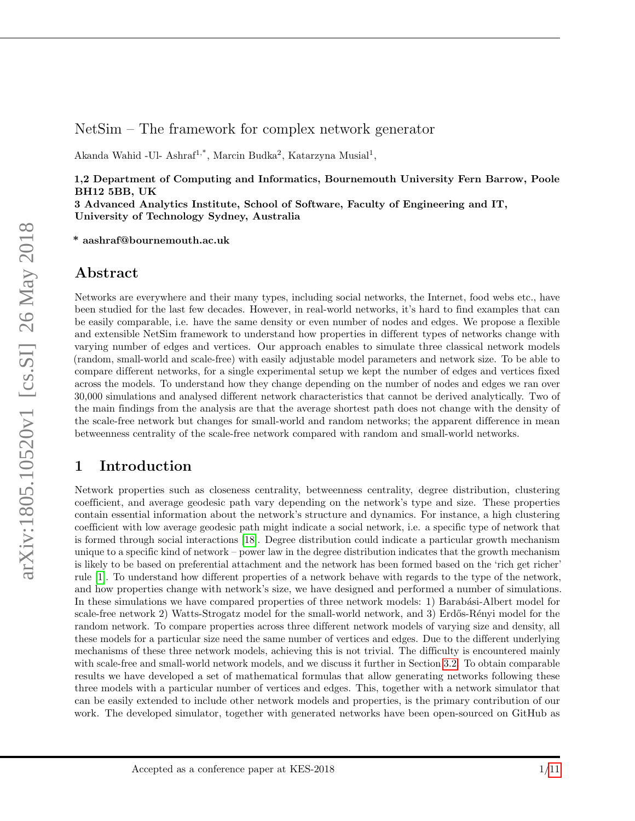### NetSim – The framework for complex network generator

Akanda Wahid -Ul- Ashraf<sup>1,\*</sup>, Marcin Budka<sup>2</sup>, Katarzyna Musial<sup>1</sup>,

1,2 Department of Computing and Informatics, Bournemouth University Fern Barrow, Poole BH12 5BB, UK

3 Advanced Analytics Institute, School of Software, Faculty of Engineering and IT, University of Technology Sydney, Australia

\* aashraf@bournemouth.ac.uk

### Abstract

Networks are everywhere and their many types, including social networks, the Internet, food webs etc., have been studied for the last few decades. However, in real-world networks, it's hard to find examples that can be easily comparable, i.e. have the same density or even number of nodes and edges. We propose a flexible and extensible NetSim framework to understand how properties in different types of networks change with varying number of edges and vertices. Our approach enables to simulate three classical network models (random, small-world and scale-free) with easily adjustable model parameters and network size. To be able to compare different networks, for a single experimental setup we kept the number of edges and vertices fixed across the models. To understand how they change depending on the number of nodes and edges we ran over 30,000 simulations and analysed different network characteristics that cannot be derived analytically. Two of the main findings from the analysis are that the average shortest path does not change with the density of the scale-free network but changes for small-world and random networks; the apparent difference in mean betweenness centrality of the scale-free network compared with random and small-world networks.

## 1 Introduction

Network properties such as closeness centrality, betweenness centrality, degree distribution, clustering coefficient, and average geodesic path vary depending on the network's type and size. These properties contain essential information about the network's structure and dynamics. For instance, a high clustering coefficient with low average geodesic path might indicate a social network, i.e. a specific type of network that is formed through social interactions [\[18\]](#page-10-0). Degree distribution could indicate a particular growth mechanism unique to a specific kind of network – power law in the degree distribution indicates that the growth mechanism is likely to be based on preferential attachment and the network has been formed based on the 'rich get richer' rule [\[1\]](#page-9-0). To understand how different properties of a network behave with regards to the type of the network, and how properties change with network's size, we have designed and performed a number of simulations. In these simulations we have compared properties of three network models: 1) Barabási-Albert model for scale-free network 2) Watts-Strogatz model for the small-world network, and 3) Erdős-Rényi model for the random network. To compare properties across three different network models of varying size and density, all these models for a particular size need the same number of vertices and edges. Due to the different underlying mechanisms of these three network models, achieving this is not trivial. The difficulty is encountered mainly with scale-free and small-world network models, and we discuss it further in Section [3.2.](#page-2-0) To obtain comparable results we have developed a set of mathematical formulas that allow generating networks following these three models with a particular number of vertices and edges. This, together with a network simulator that can be easily extended to include other network models and properties, is the primary contribution of our work. The developed simulator, together with generated networks have been open-sourced on GitHub as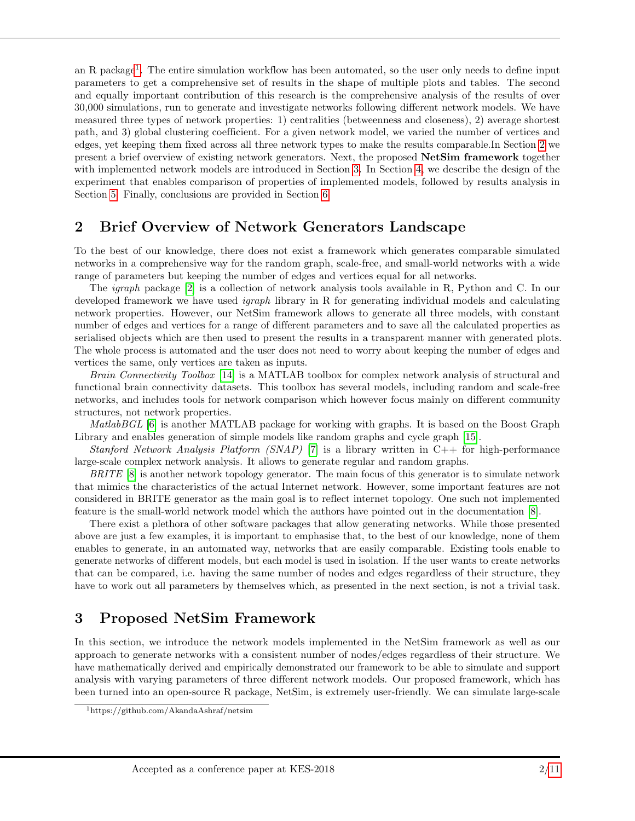an R package<sup>[1](#page-1-0)</sup>. The entire simulation workflow has been automated, so the user only needs to define input parameters to get a comprehensive set of results in the shape of multiple plots and tables. The second and equally important contribution of this research is the comprehensive analysis of the results of over 30,000 simulations, run to generate and investigate networks following different network models. We have measured three types of network properties: 1) centralities (betweenness and closeness), 2) average shortest path, and 3) global clustering coefficient. For a given network model, we varied the number of vertices and edges, yet keeping them fixed across all three network types to make the results comparable.In Section [2](#page-1-1) we present a brief overview of existing network generators. Next, the proposed NetSim framework together with implemented network models are introduced in Section [3.](#page-1-2) In Section [4,](#page-3-0) we describe the design of the experiment that enables comparison of properties of implemented models, followed by results analysis in Section [5.](#page-4-0) Finally, conclusions are provided in Section [6.](#page-9-1)

# <span id="page-1-1"></span>2 Brief Overview of Network Generators Landscape

To the best of our knowledge, there does not exist a framework which generates comparable simulated networks in a comprehensive way for the random graph, scale-free, and small-world networks with a wide range of parameters but keeping the number of edges and vertices equal for all networks.

The igraph package [\[2\]](#page-9-2) is a collection of network analysis tools available in R, Python and C. In our developed framework we have used igraph library in R for generating individual models and calculating network properties. However, our NetSim framework allows to generate all three models, with constant number of edges and vertices for a range of different parameters and to save all the calculated properties as serialised objects which are then used to present the results in a transparent manner with generated plots. The whole process is automated and the user does not need to worry about keeping the number of edges and vertices the same, only vertices are taken as inputs.

Brain Connectivity Toolbox [\[14\]](#page-10-2) is a MATLAB toolbox for complex network analysis of structural and functional brain connectivity datasets. This toolbox has several models, including random and scale-free networks, and includes tools for network comparison which however focus mainly on different community structures, not network properties.

 $MatlabBGL$  [\[6\]](#page-10-3) is another MATLAB package for working with graphs. It is based on the Boost Graph Library and enables generation of simple models like random graphs and cycle graph [\[15\]](#page-10-4).

Stanford Network Analysis Platform (SNAP) [\[7\]](#page-10-5) is a library written in C++ for high-performance large-scale complex network analysis. It allows to generate regular and random graphs.

 $BRITE$  [\[8\]](#page-10-6) is another network topology generator. The main focus of this generator is to simulate network that mimics the characteristics of the actual Internet network. However, some important features are not considered in BRITE generator as the main goal is to reflect internet topology. One such not implemented feature is the small-world network model which the authors have pointed out in the documentation [\[8\]](#page-10-6).

There exist a plethora of other software packages that allow generating networks. While those presented above are just a few examples, it is important to emphasise that, to the best of our knowledge, none of them enables to generate, in an automated way, networks that are easily comparable. Existing tools enable to generate networks of different models, but each model is used in isolation. If the user wants to create networks that can be compared, i.e. having the same number of nodes and edges regardless of their structure, they have to work out all parameters by themselves which, as presented in the next section, is not a trivial task.

# <span id="page-1-2"></span>3 Proposed NetSim Framework

In this section, we introduce the network models implemented in the NetSim framework as well as our approach to generate networks with a consistent number of nodes/edges regardless of their structure. We have mathematically derived and empirically demonstrated our framework to be able to simulate and support analysis with varying parameters of three different network models. Our proposed framework, which has been turned into an open-source R package, NetSim, is extremely user-friendly. We can simulate large-scale

<span id="page-1-0"></span><sup>1</sup>https://github.com/AkandaAshraf/netsim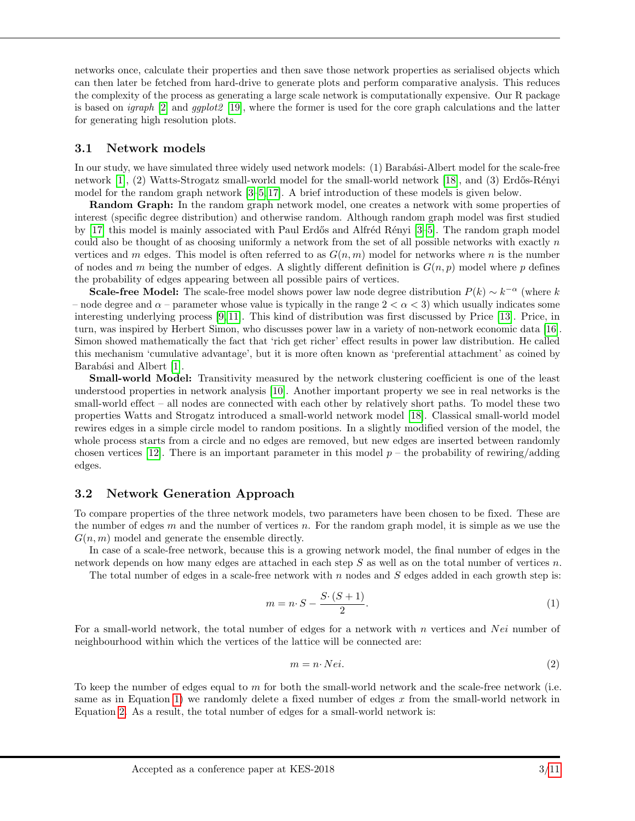networks once, calculate their properties and then save those network properties as serialised objects which can then later be fetched from hard-drive to generate plots and perform comparative analysis. This reduces the complexity of the process as generating a large scale network is computationally expensive. Our R package is based on *igraph* [\[2\]](#page-9-2) and *ggplot2* [\[19\]](#page-10-7), where the former is used for the core graph calculations and the latter for generating high resolution plots.

### 3.1 Network models

In our study, we have simulated three widely used network models: (1) Barabási-Albert model for the scale-free network [\[1\]](#page-9-0), (2) Watts-Strogatz small-world model for the small-world network [\[18\]](#page-10-0), and (3) Erdős-Rényi model for the random graph network [\[3–](#page-9-3)[5,](#page-9-4) [17\]](#page-10-8). A brief introduction of these models is given below.

Random Graph: In the random graph network model, one creates a network with some properties of interest (specific degree distribution) and otherwise random. Although random graph model was first studied by [\[17\]](#page-10-8) this model is mainly associated with Paul Erdős and Alfréd Rényi [\[3](#page-9-3)[–5\]](#page-9-4). The random graph model could also be thought of as choosing uniformly a network from the set of all possible networks with exactly  $n$ vertices and m edges. This model is often referred to as  $G(n, m)$  model for networks where n is the number of nodes and m being the number of edges. A slightly different definition is  $G(n, p)$  model where p defines the probability of edges appearing between all possible pairs of vertices.

**Scale-free Model:** The scale-free model shows power law node degree distribution  $P(k) \sim k^{-\alpha}$  (where k – node degree and  $\alpha$  – parameter whose value is typically in the range  $2 < \alpha < 3$ ) which usually indicates some interesting underlying process [\[9,](#page-10-9) [11\]](#page-10-10). This kind of distribution was first discussed by Price [\[13\]](#page-10-11). Price, in turn, was inspired by Herbert Simon, who discusses power law in a variety of non-network economic data [\[16\]](#page-10-12). Simon showed mathematically the fact that 'rich get richer' effect results in power law distribution. He called this mechanism 'cumulative advantage', but it is more often known as 'preferential attachment' as coined by Barabási and Albert [\[1\]](#page-9-0).

Small-world Model: Transitivity measured by the network clustering coefficient is one of the least understood properties in network analysis [\[10\]](#page-10-13). Another important property we see in real networks is the small-world effect – all nodes are connected with each other by relatively short paths. To model these two properties Watts and Strogatz introduced a small-world network model [\[18\]](#page-10-0). Classical small-world model rewires edges in a simple circle model to random positions. In a slightly modified version of the model, the whole process starts from a circle and no edges are removed, but new edges are inserted between randomly chosen vertices [\[12\]](#page-10-14). There is an important parameter in this model  $p$  – the probability of rewiring/adding edges.

### <span id="page-2-0"></span>3.2 Network Generation Approach

To compare properties of the three network models, two parameters have been chosen to be fixed. These are the number of edges  $m$  and the number of vertices  $n$ . For the random graph model, it is simple as we use the  $G(n, m)$  model and generate the ensemble directly.

In case of a scale-free network, because this is a growing network model, the final number of edges in the network depends on how many edges are attached in each step  $S$  as well as on the total number of vertices  $n$ .

The total number of edges in a scale-free network with  $n$  nodes and  $S$  edges added in each growth step is:

<span id="page-2-1"></span>
$$
m = n \cdot S - \frac{S \cdot (S+1)}{2}.
$$
 (1)

For a small-world network, the total number of edges for a network with n vertices and Nei number of neighbourhood within which the vertices of the lattice will be connected are:

<span id="page-2-2"></span>
$$
m = n \cdot Nei. \tag{2}
$$

To keep the number of edges equal to m for both the small-world network and the scale-free network (i.e. same as in Equation [1\)](#page-2-1) we randomly delete a fixed number of edges  $x$  from the small-world network in Equation [2.](#page-2-2) As a result, the total number of edges for a small-world network is: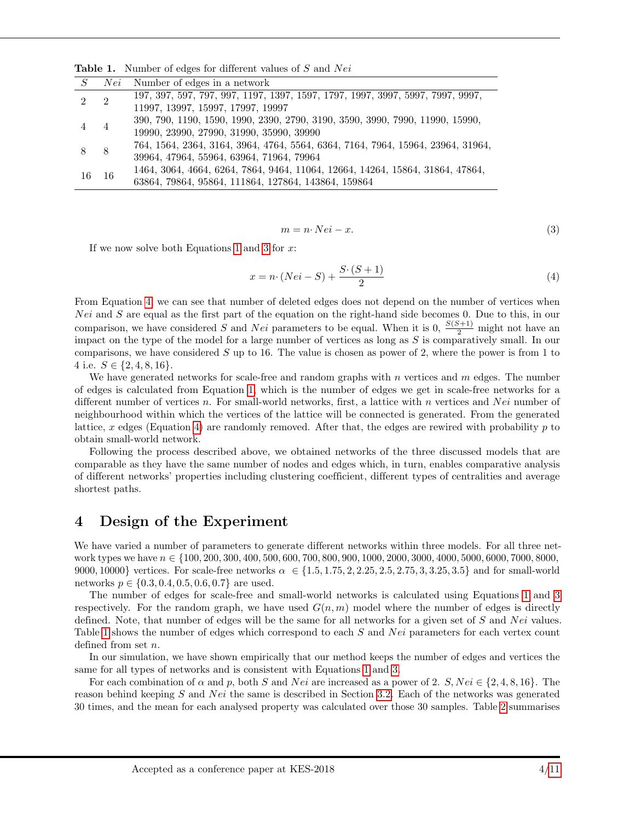| S  |     | $Nei$ Number of edges in a network                                              |
|----|-----|---------------------------------------------------------------------------------|
|    | -2  | 197, 397, 597, 797, 997, 1197, 1397, 1597, 1797, 1997, 3997, 5997, 7997, 9997,  |
|    |     | 11997, 13997, 15997, 17997, 19997                                               |
|    | 4   | 390, 790, 1190, 1590, 1990, 2390, 2790, 3190, 3590, 3990, 7990, 11990, 15990,   |
|    |     | 19990, 23990, 27990, 31990, 35990, 39990                                        |
| 8  | - 8 | 764, 1564, 2364, 3164, 3964, 4764, 5564, 6364, 7164, 7964, 15964, 23964, 31964, |
|    |     | 39964, 47964, 55964, 63964, 71964, 79964                                        |
| 16 | -16 | 1464, 3064, 4664, 6264, 7864, 9464, 11064, 12664, 14264, 15864, 31864, 47864,   |
|    |     | 63864, 79864, 95864, 111864, 127864, 143864, 159864                             |

<span id="page-3-3"></span>Table 1. Number of edges for different values of S and Nei

<span id="page-3-1"></span>
$$
m = n \cdot Nei - x. \tag{3}
$$

If we now solve both Equations [1](#page-2-1) and [3](#page-3-1) for  $x$ :

<span id="page-3-2"></span>
$$
x = n \cdot (Nei - S) + \frac{S \cdot (S + 1)}{2} \tag{4}
$$

From Equation [4,](#page-3-2) we can see that number of deleted edges does not depend on the number of vertices when Nei and S are equal as the first part of the equation on the right-hand side becomes 0. Due to this, in our comparison, we have considered S and Nei parameters to be equal. When it is  $0, \frac{S(S+1)}{2}$  might not have an impact on the type of the model for a large number of vertices as long as  $S$  is comparatively small. In our comparisons, we have considered  $S$  up to 16. The value is chosen as power of 2, where the power is from 1 to 4 i.e.  $S \in \{2, 4, 8, 16\}.$ 

We have generated networks for scale-free and random graphs with  $n$  vertices and  $m$  edges. The number of edges is calculated from Equation [1,](#page-2-1) which is the number of edges we get in scale-free networks for a different number of vertices n. For small-world networks, first, a lattice with n vertices and Nei number of neighbourhood within which the vertices of the lattice will be connected is generated. From the generated lattice, x edges (Equation [4\)](#page-3-2) are randomly removed. After that, the edges are rewired with probability  $p$  to obtain small-world network.

Following the process described above, we obtained networks of the three discussed models that are comparable as they have the same number of nodes and edges which, in turn, enables comparative analysis of different networks' properties including clustering coefficient, different types of centralities and average shortest paths.

### <span id="page-3-0"></span>4 Design of the Experiment

We have varied a number of parameters to generate different networks within three models. For all three network types we have  $n \in \{100, 200, 300, 400, 500, 600, 700, 800, 900, 1000, 2000, 3000, 4000, 5000, 6000, 7000, 8000,$ 9000, 10000} vertices. For scale-free networks  $\alpha \in \{1.5, 1.75, 2, 2.25, 2.5, 2.75, 3, 3.25, 3.5\}$  and for small-world networks  $p \in \{0.3, 0.4, 0.5, 0.6, 0.7\}$  are used.

The number of edges for scale-free and small-world networks is calculated using Equations [1](#page-2-1) and [3](#page-3-1) respectively. For the random graph, we have used  $G(n, m)$  model where the number of edges is directly defined. Note, that number of edges will be the same for all networks for a given set of S and Nei values. Table [1](#page-3-3) shows the number of edges which correspond to each S and Nei parameters for each vertex count defined from set n.

In our simulation, we have shown empirically that our method keeps the number of edges and vertices the same for all types of networks and is consistent with Equations [1](#page-2-1) and [3.](#page-3-1)

For each combination of  $\alpha$  and  $p$ , both S and Nei are increased as a power of 2. S, Nei  $\in \{2, 4, 8, 16\}$ . The reason behind keeping S and Nei the same is described in Section [3.2.](#page-2-0) Each of the networks was generated 30 times, and the mean for each analysed property was calculated over those 30 samples. Table [2](#page-4-1) summarises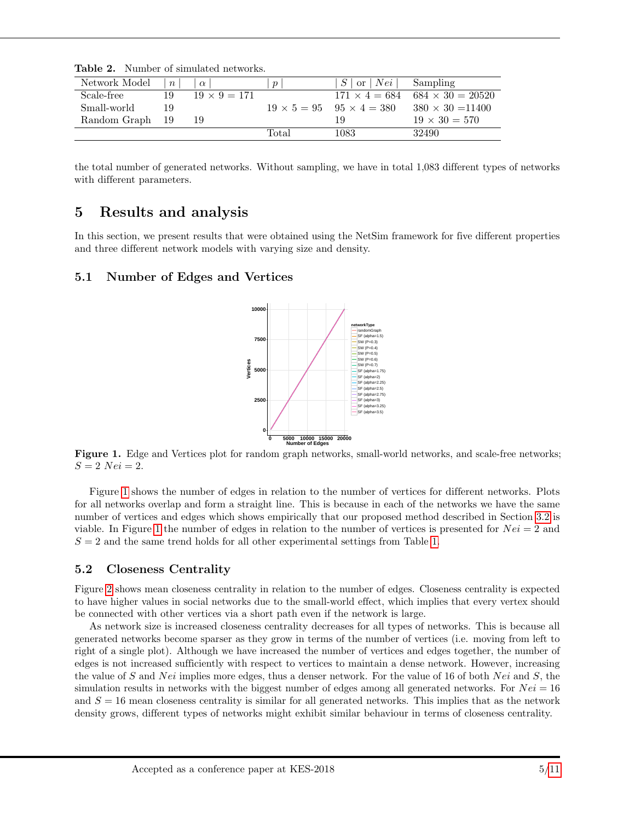| Network Model | $n_{\rm}$ | $\alpha$            | $\boldsymbol{p}$ | $ S $ or $ Nei $                       | Sampling                |  |  |  |
|---------------|-----------|---------------------|------------------|----------------------------------------|-------------------------|--|--|--|
| Scale-free    | 19        | $19 \times 9 = 171$ |                  | $171 \times 4 = 684$                   | $684 \times 30 = 20520$ |  |  |  |
| Small-world   | 19        |                     |                  | $19 \times 5 = 95$ $95 \times 4 = 380$ | $380 \times 30 = 11400$ |  |  |  |
| Random Graph  | -19       | 19                  |                  | 19                                     | $19 \times 30 = 570$    |  |  |  |
|               |           |                     | Total            | 1083                                   | 32490                   |  |  |  |

<span id="page-4-1"></span>Table 2. Number of simulated networks.

the total number of generated networks. Without sampling, we have in total 1,083 different types of networks with different parameters.

## <span id="page-4-0"></span>5 Results and analysis

In this section, we present results that were obtained using the NetSim framework for five different properties and three different network models with varying size and density.

#### <span id="page-4-2"></span>5.1 Number of Edges and Vertices



Figure 1. Edge and Vertices plot for random graph networks, small-world networks, and scale-free networks;  $S = 2$   $Nei = 2$ .

Figure [1](#page-4-2) shows the number of edges in relation to the number of vertices for different networks. Plots for all networks overlap and form a straight line. This is because in each of the networks we have the same number of vertices and edges which shows empirically that our proposed method described in Section [3.2](#page-2-0) is viable. In Figure [1](#page-4-2) the number of edges in relation to the number of vertices is presented for  $Nei = 2$  and  $S = 2$  and the same trend holds for all other experimental settings from Table [1.](#page-3-3)

### 5.2 Closeness Centrality

Figure [2](#page-5-0) shows mean closeness centrality in relation to the number of edges. Closeness centrality is expected to have higher values in social networks due to the small-world effect, which implies that every vertex should be connected with other vertices via a short path even if the network is large.

As network size is increased closeness centrality decreases for all types of networks. This is because all generated networks become sparser as they grow in terms of the number of vertices (i.e. moving from left to right of a single plot). Although we have increased the number of vertices and edges together, the number of edges is not increased sufficiently with respect to vertices to maintain a dense network. However, increasing the value of S and Nei implies more edges, thus a denser network. For the value of 16 of both Nei and S, the simulation results in networks with the biggest number of edges among all generated networks. For  $Nei = 16$ and  $S = 16$  mean closeness centrality is similar for all generated networks. This implies that as the network density grows, different types of networks might exhibit similar behaviour in terms of closeness centrality.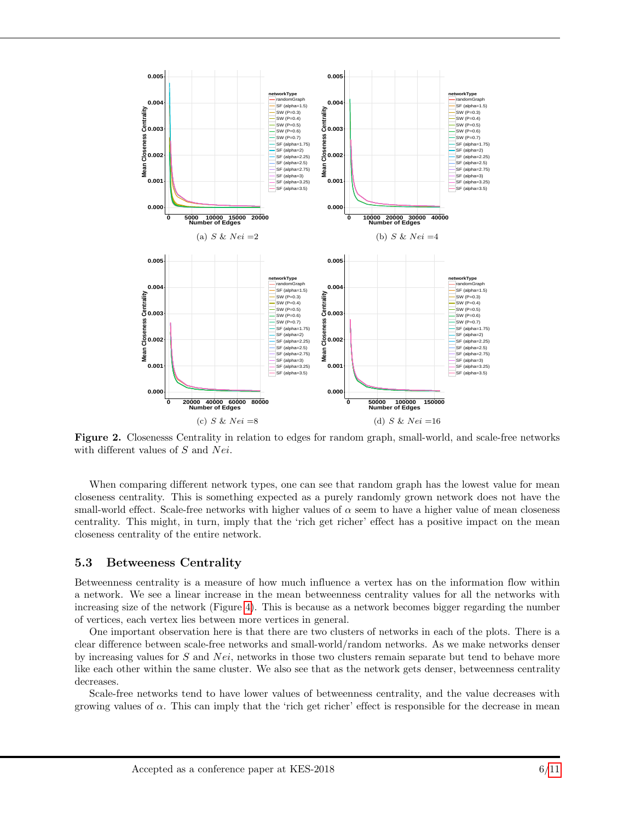<span id="page-5-0"></span>

Figure 2. Closenesss Centrality in relation to edges for random graph, small-world, and scale-free networks with different values of S and Nei.

When comparing different network types, one can see that random graph has the lowest value for mean closeness centrality. This is something expected as a purely randomly grown network does not have the small-world effect. Scale-free networks with higher values of  $\alpha$  seem to have a higher value of mean closeness centrality. This might, in turn, imply that the 'rich get richer' effect has a positive impact on the mean closeness centrality of the entire network.

### 5.3 Betweeness Centrality

Betweenness centrality is a measure of how much influence a vertex has on the information flow within a network. We see a linear increase in the mean betweenness centrality values for all the networks with increasing size of the network (Figure [4\)](#page-7-0). This is because as a network becomes bigger regarding the number of vertices, each vertex lies between more vertices in general.

One important observation here is that there are two clusters of networks in each of the plots. There is a clear difference between scale-free networks and small-world/random networks. As we make networks denser by increasing values for S and Nei, networks in those two clusters remain separate but tend to behave more like each other within the same cluster. We also see that as the network gets denser, betweenness centrality decreases.

Scale-free networks tend to have lower values of betweenness centrality, and the value decreases with growing values of  $\alpha$ . This can imply that the 'rich get richer' effect is responsible for the decrease in mean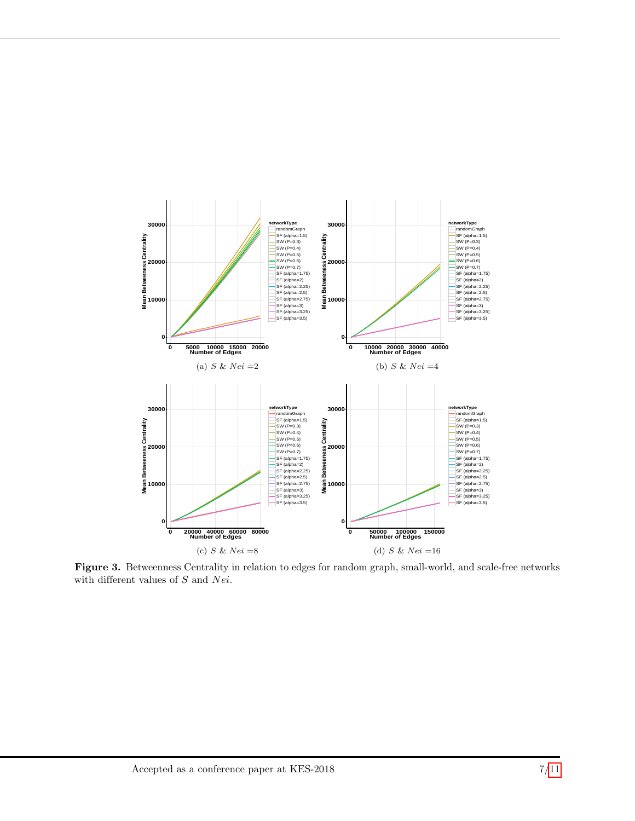

Figure 3. Betweenness Centrality in relation to edges for random graph, small-world, and scale-free networks with different values of S and Nei.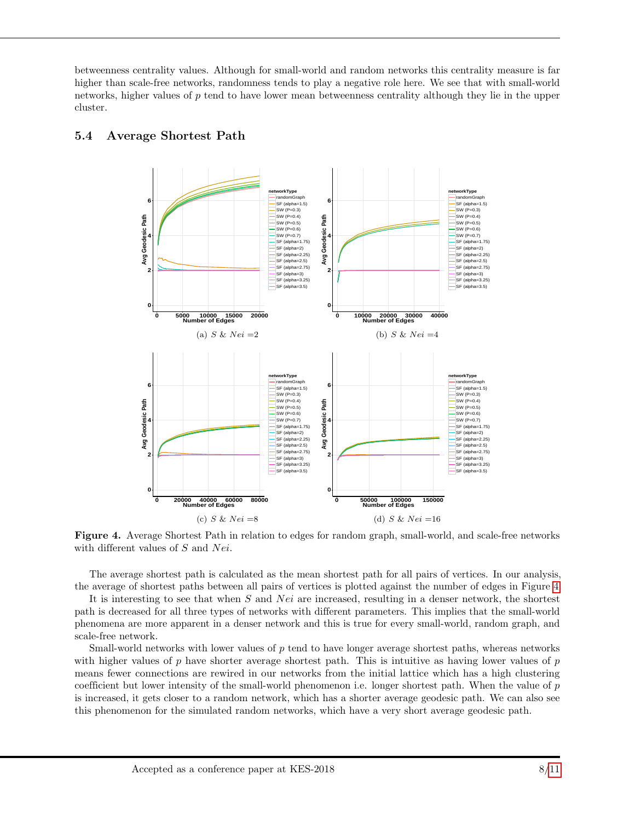betweenness centrality values. Although for small-world and random networks this centrality measure is far higher than scale-free networks, randomness tends to play a negative role here. We see that with small-world networks, higher values of p tend to have lower mean betweenness centrality although they lie in the upper cluster.



### <span id="page-7-0"></span>5.4 Average Shortest Path

Figure 4. Average Shortest Path in relation to edges for random graph, small-world, and scale-free networks with different values of S and Nei.

The average shortest path is calculated as the mean shortest path for all pairs of vertices. In our analysis, the average of shortest paths between all pairs of vertices is plotted against the number of edges in Figure [4.](#page-7-0)

It is interesting to see that when S and Nei are increased, resulting in a denser network, the shortest path is decreased for all three types of networks with different parameters. This implies that the small-world phenomena are more apparent in a denser network and this is true for every small-world, random graph, and scale-free network.

Small-world networks with lower values of  $p$  tend to have longer average shortest paths, whereas networks with higher values of  $p$  have shorter average shortest path. This is intuitive as having lower values of  $p$ means fewer connections are rewired in our networks from the initial lattice which has a high clustering coefficient but lower intensity of the small-world phenomenon i.e. longer shortest path. When the value of p is increased, it gets closer to a random network, which has a shorter average geodesic path. We can also see this phenomenon for the simulated random networks, which have a very short average geodesic path.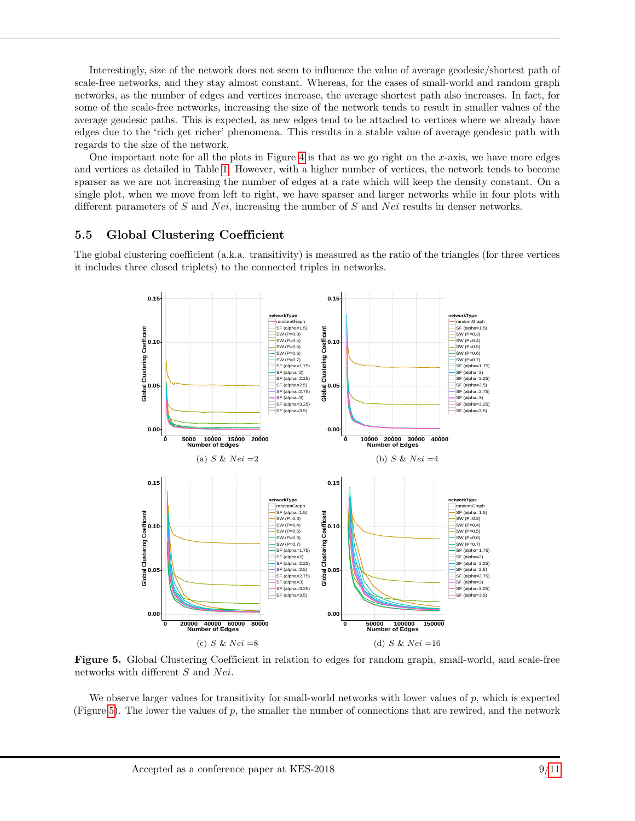Interestingly, size of the network does not seem to influence the value of average geodesic/shortest path of scale-free networks, and they stay almost constant. Whereas, for the cases of small-world and random graph networks, as the number of edges and vertices increase, the average shortest path also increases. In fact, for some of the scale-free networks, increasing the size of the network tends to result in smaller values of the average geodesic paths. This is expected, as new edges tend to be attached to vertices where we already have edges due to the 'rich get richer' phenomena. This results in a stable value of average geodesic path with regards to the size of the network.

One important note for all the plots in Figure [4](#page-7-0) is that as we go right on the x-axis, we have more edges and vertices as detailed in Table [1.](#page-3-3) However, with a higher number of vertices, the network tends to become sparser as we are not increasing the number of edges at a rate which will keep the density constant. On a single plot, when we move from left to right, we have sparser and larger networks while in four plots with different parameters of S and Nei, increasing the number of S and Nei results in denser networks.

### 5.5 Global Clustering Coefficient

<span id="page-8-0"></span>The global clustering coefficient (a.k.a. transitivity) is measured as the ratio of the triangles (for three vertices it includes three closed triplets) to the connected triples in networks.



Figure 5. Global Clustering Coefficient in relation to edges for random graph, small-world, and scale-free networks with different S and Nei.

We observe larger values for transitivity for small-world networks with lower values of  $p$ , which is expected (Figure [5\)](#page-8-0). The lower the values of p, the smaller the number of connections that are rewired, and the network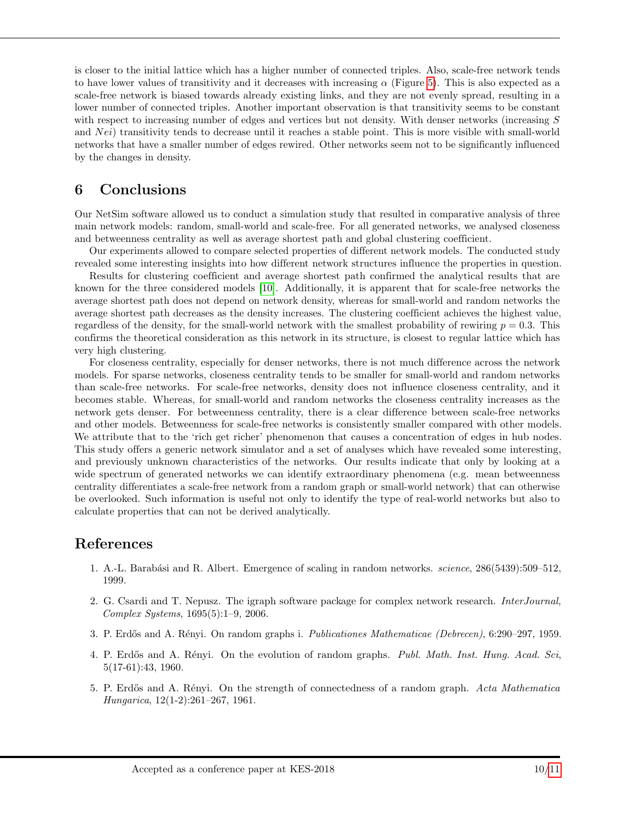is closer to the initial lattice which has a higher number of connected triples. Also, scale-free network tends to have lower values of transitivity and it decreases with increasing  $\alpha$  (Figure [5\)](#page-8-0). This is also expected as a scale-free network is biased towards already existing links, and they are not evenly spread, resulting in a lower number of connected triples. Another important observation is that transitivity seems to be constant with respect to increasing number of edges and vertices but not density. With denser networks (increasing S and Nei) transitivity tends to decrease until it reaches a stable point. This is more visible with small-world networks that have a smaller number of edges rewired. Other networks seem not to be significantly influenced by the changes in density.

# <span id="page-9-1"></span>6 Conclusions

Our NetSim software allowed us to conduct a simulation study that resulted in comparative analysis of three main network models: random, small-world and scale-free. For all generated networks, we analysed closeness and betweenness centrality as well as average shortest path and global clustering coefficient.

Our experiments allowed to compare selected properties of different network models. The conducted study revealed some interesting insights into how different network structures influence the properties in question.

Results for clustering coefficient and average shortest path confirmed the analytical results that are known for the three considered models [\[10\]](#page-10-13). Additionally, it is apparent that for scale-free networks the average shortest path does not depend on network density, whereas for small-world and random networks the average shortest path decreases as the density increases. The clustering coefficient achieves the highest value, regardless of the density, for the small-world network with the smallest probability of rewiring  $p = 0.3$ . This confirms the theoretical consideration as this network in its structure, is closest to regular lattice which has very high clustering.

For closeness centrality, especially for denser networks, there is not much difference across the network models. For sparse networks, closeness centrality tends to be smaller for small-world and random networks than scale-free networks. For scale-free networks, density does not influence closeness centrality, and it becomes stable. Whereas, for small-world and random networks the closeness centrality increases as the network gets denser. For betweenness centrality, there is a clear difference between scale-free networks and other models. Betweenness for scale-free networks is consistently smaller compared with other models. We attribute that to the 'rich get richer' phenomenon that causes a concentration of edges in hub nodes. This study offers a generic network simulator and a set of analyses which have revealed some interesting, and previously unknown characteristics of the networks. Our results indicate that only by looking at a wide spectrum of generated networks we can identify extraordinary phenomena (e.g. mean betweenness centrality differentiates a scale-free network from a random graph or small-world network) that can otherwise be overlooked. Such information is useful not only to identify the type of real-world networks but also to calculate properties that can not be derived analytically.

## <span id="page-9-0"></span>References

- 1. A.-L. Barabási and R. Albert. Emergence of scaling in random networks. science, 286(5439):509–512, 1999.
- <span id="page-9-2"></span>2. G. Csardi and T. Nepusz. The igraph software package for complex network research. InterJournal, Complex Systems, 1695(5):1–9, 2006.
- <span id="page-9-3"></span>3. P. Erdős and A. Rényi. On random graphs i. *Publicationes Mathematicae (Debrecen)*, 6:290–297, 1959.
- 4. P. Erdős and A. Rényi. On the evolution of random graphs. Publ. Math. Inst. Hung. Acad. Sci, 5(17-61):43, 1960.
- <span id="page-9-4"></span>5. P. Erdős and A. Rényi. On the strength of connectedness of a random graph. Acta Mathematica Hungarica, 12(1-2):261–267, 1961.